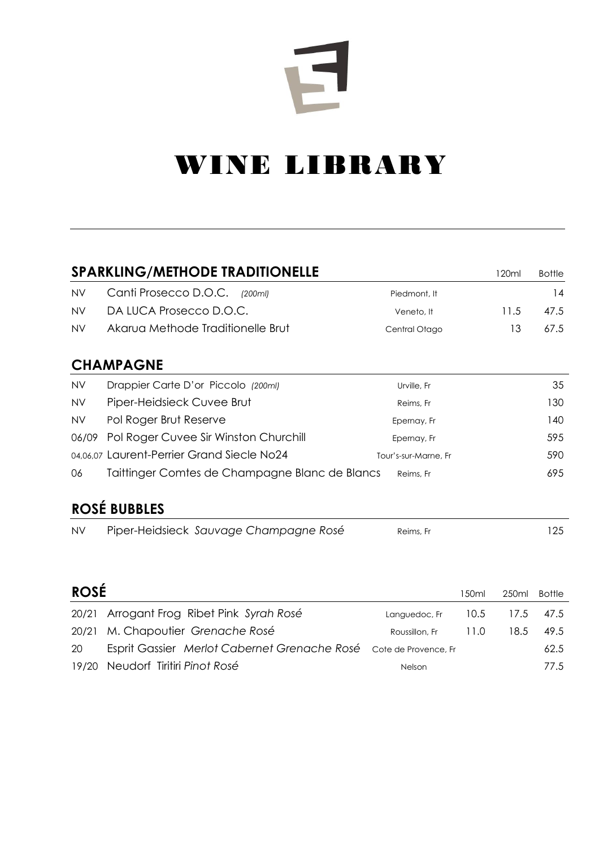# $\mathbf{F}$

# WINE LIBRARY

|             | <b>SPARKLING/METHODE TRADITIONELLE</b>         |                      |       | 120ml | <b>Bottle</b> |
|-------------|------------------------------------------------|----------------------|-------|-------|---------------|
| <b>NV</b>   | Canti Prosecco D.O.C.<br>(200ml)               | Piedmont, It         |       |       | 14            |
| <b>NV</b>   | DA LUCA Prosecco D.O.C.                        | Veneto, It           |       | 11.5  | 47.5          |
| <b>NV</b>   | Akarua Methode Traditionelle Brut              | Central Otago        |       | 13    | 67.5          |
|             | <b>CHAMPAGNE</b>                               |                      |       |       |               |
| <b>NV</b>   | Drappier Carte D'or Piccolo (200ml)            | Urville, Fr          |       |       | 35            |
| <b>NV</b>   | Piper-Heidsieck Cuvee Brut                     | Reims, Fr            |       |       | 130           |
| <b>NV</b>   | Pol Roger Brut Reserve                         | Epernay, Fr          |       |       | 140           |
| 06/09       | Pol Roger Cuvee Sir Winston Churchill          | Epernay, Fr          |       |       | 595           |
|             | 04,06,07 Laurent-Perrier Grand Siecle No24     | Tour's-sur-Marne, Fr |       |       | 590           |
| 06          | Taittinger Comtes de Champagne Blanc de Blancs | Reims, Fr            |       |       | 695           |
|             | <b>ROSÉ BUBBLES</b>                            |                      |       |       |               |
| <b>NV</b>   | Piper-Heidsieck Sauvage Champagne Rosé         | Reims, Fr            |       |       | 125           |
|             |                                                |                      |       |       |               |
| <b>ROSÉ</b> |                                                |                      |       |       |               |
|             |                                                |                      | 150ml | 250ml | <b>Bottle</b> |
| 20/21       | Arrogant Frog Ribet Pink Syrah Rosé            | Languedoc, Fr        | 10.5  | 17.5  | 47.5          |
| 20/21       | M. Chapoutier Grenache Rosé                    | Roussillon, Fr       | 11.0  | 18.5  | 49.5          |
| 20          | Esprit Gassier Merlot Cabernet Grenache Rosé   | Cote de Provence, Fr |       |       | 62.5          |
| 19/20       | Neudorf Tiritiri Pinot Rosé                    | Nelson               |       |       | 77.5          |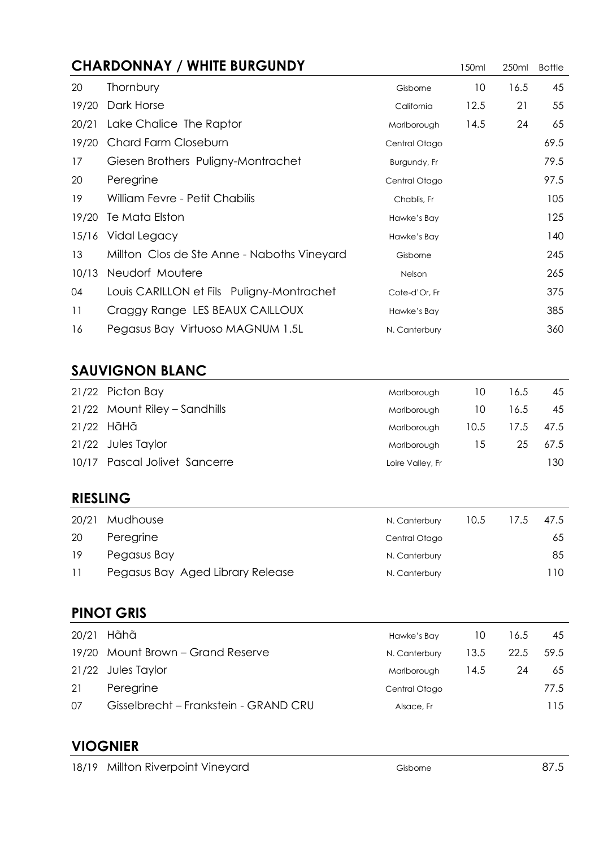## **CHARDONNAY / WHITE BURGUNDY** 150ml 250ml Bottle 20 Thornbury 20 Thornbury 10 16.5 45 19/20 Dark Horse **California** 12.5 21 55 20/21 Lake Chalice The Raptor **Marlborough** 14.5 24 65 19/20 Chard Farm Closeburn Contral Charge Central Otago 69.5 17 Giesen Brothers Puligny-Montrachet Burgundy, Fr 6179.5 20 Peregrine 20 Peregrine 20 Peregrine 20 Peregrine 20 Peregrine 20 Central Otago 19 William Fevre - Petit Chabilis Chapter Chabis, Francesco Chabis, Francesco Chabis, Fr 19/20 Te Mata Elston 125 15/16 Vidal Legacy and the state of the Hawke's Bay 140 13 Millton Clos de Ste Anne - Naboths Vineyard Gisborne Cistorne 245 10/13 Neudorf Moutere 265 04 Louis CARILLON et Fils Puligny-Montrachet Cote-d'Or, Fr 375 11 Craggy Range LES BEAUX CAILLOUX Hawke's Bay **11** Craggy Range LES BEAUX CAILLOUX 16 Pegasus Bay Virtuoso MAGNUM 1.5L N. Canterbury 360

#### **SAUVIGNON BLANC**

| 21/22 Picton Bay              | Marlborough      | TO.  | 16.5 | 45   |
|-------------------------------|------------------|------|------|------|
| 21/22 Mount Riley – Sandhills | Marlborough      | 10   | 16.5 | 45   |
| 21/22 HãHã                    | Marlborough      | 10.5 | 17.5 | 47.5 |
| 21/22 Jules Taylor            | Marlborough      | 15.  | 25   | 67.5 |
| 10/17 Pascal Jolivet Sancerre | Loire Valley, Fr |      |      | 130  |

#### **RIESLING**

| 20/21 | Mudhouse                         | N. Canterbury | 10.5 | 17.5 | 47.5 |
|-------|----------------------------------|---------------|------|------|------|
| 20    | Peregrine                        | Central Otago |      |      | 65   |
| 19    | Pegasus Bay                      | N. Canterbury |      |      | 85   |
| -11   | Pegasus Bay Aged Library Release | N. Canterbury |      |      | l 10 |

#### **PINOT GRIS**

| 20/21 | Hãhã                                  | Hawke's Bay   | 10   | 16.5 | 45   |
|-------|---------------------------------------|---------------|------|------|------|
|       | 19/20 Mount Brown – Grand Reserve     | N. Canterbury | 13.5 | 22.5 | 59.5 |
|       | 21/22 Jules Taylor                    | Marlborough   | 14.5 | 24   | 65   |
| 21    | Peregrine                             | Central Otago |      |      | 77.5 |
| 07    | Gisselbrecht – Frankstein - GRAND CRU | Alsace, Fr    |      |      | 115  |

#### **VIOGNIER**

| 18/19 Millton Riverpoint Vineyard | Gisborne | 87.5 |
|-----------------------------------|----------|------|
|                                   |          |      |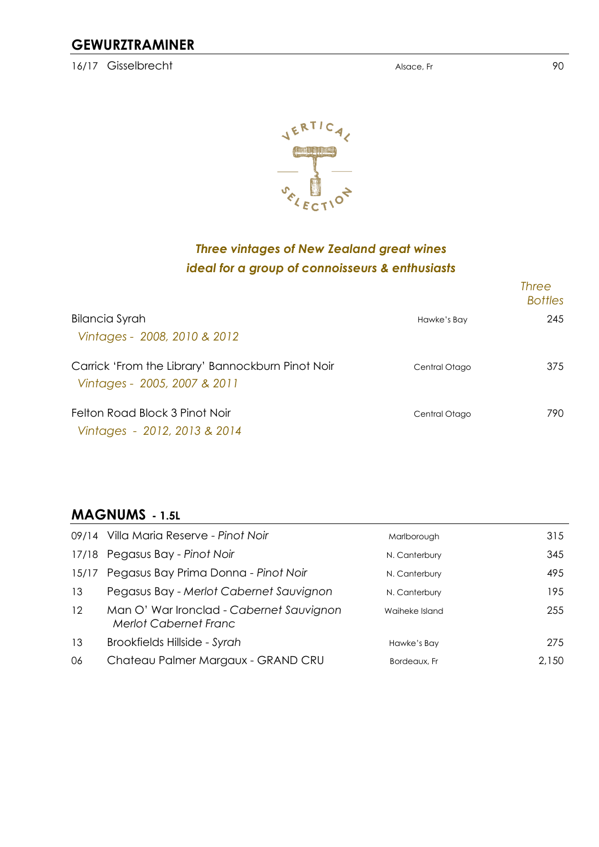#### **GEWURZTRAMINER**

16/17 Gisselbrecht and the state of the Alsace, France Alsace, France and the Alsace, France and the State of the State of the State of the Alsace, France and the State of the State of the Alsace, France and the State of t



### *Three vintages of New Zealand great wines ideal for a group of connoisseurs & enthusiasts*

|                                                                                   |               | <b>Three</b><br><b>Bottles</b> |
|-----------------------------------------------------------------------------------|---------------|--------------------------------|
| <b>Bilancia Syrah</b>                                                             | Hawke's Bay   | 245                            |
| Vintages - 2008, 2010 & 2012                                                      |               |                                |
| Carrick 'From the Library' Bannockburn Pinot Noir<br>Vintages - 2005, 2007 & 2011 | Central Otago | 375                            |
| Felton Road Block 3 Pinot Noir                                                    | Central Otago | 790                            |
| Vintages - 2012, 2013 & 2014                                                      |               |                                |

#### **MAGNUMS - 1.5L**

|                   | 09/14 Villa Maria Reserve - Pinot Noir                                   | Marlborough    | 315   |
|-------------------|--------------------------------------------------------------------------|----------------|-------|
|                   | 17/18 Pegasus Bay - Pinot Noir                                           | N. Canterbury  | 345   |
| 15/17             | Pegasus Bay Prima Donna - Pinot Noir                                     | N. Canterbury  | 495   |
| 13                | Pegasus Bay - Merlot Cabernet Sauvignon                                  | N. Canterbury  | 195   |
| $12 \overline{ }$ | Man O' War Ironclad - Cabernet Sauvignon<br><b>Merlot Cabernet Franc</b> | Waiheke Island | 255   |
| 13                | Brookfields Hillside - Syrah                                             | Hawke's Bay    | 275   |
| 06                | Chateau Palmer Margaux - GRAND CRU                                       | Bordeaux, Fr   | 2.150 |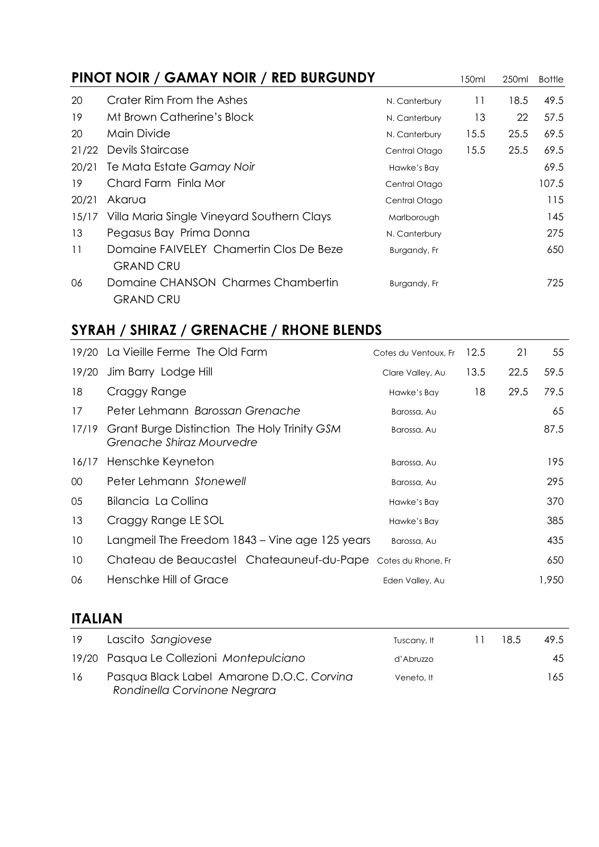|       | PINOT NOIR / GAMAY NOIR / RED BURGUNDY                      |               | 150ml | 250ml | <b>Bottle</b> |
|-------|-------------------------------------------------------------|---------------|-------|-------|---------------|
| 20    | Crater Rim From the Ashes                                   | N. Canterbury | 11    | 18.5  | 49.5          |
| 19    | Mt Brown Catherine's Block                                  | N. Canterbury | 13    | 22    | 57.5          |
| 20    | Main Divide                                                 | N. Canterbury | 15.5  | 25.5  | 69.5          |
| 21/22 | Devils Staircase                                            | Central Otago | 15.5  | 25.5  | 69.5          |
| 20/21 | Te Mata Estate Gamay Noir                                   | Hawke's Bay   |       |       | 69.5          |
| 19    | Chard Farm Finla Mor                                        | Central Otago |       |       | 107.5         |
| 20/21 | Akarua                                                      | Central Otago |       |       | 115           |
| 15/17 | Villa Maria Single Vineyard Southern Clays                  | Marlborough   |       |       | 145           |
| 13    | Pegasus Bay Prima Donna                                     | N. Canterbury |       |       | 275           |
| 11    | Domaine FAIVELEY Chamertin Clos De Beze<br><b>GRAND CRU</b> | Burgandy, Fr  |       |       | 650           |
| 06    | Domaine CHANSON Charmes Chambertin<br><b>GRAND CRU</b>      | Burgandy, Fr  |       |       | 725           |

# **SYRAH / SHIRAZ / GRENACHE / RHONE BLENDS**

|                 | 19/20 La Vieille Ferme The Old Farm                                       | Cotes du Ventoux, Fr | 12.5 | 21   | 55    |
|-----------------|---------------------------------------------------------------------------|----------------------|------|------|-------|
| 19/20           | Jim Barry Lodge Hill                                                      | Clare Valley, Au     | 13.5 | 22.5 | 59.5  |
| 18              | Craggy Range                                                              | Hawke's Bay          | 18   | 29.5 | 79.5  |
| 17              | Peter Lehmann Barossan Grenache                                           | Barossa, Au          |      |      | 65    |
| 17/19           | Grant Burge Distinction The Holy Trinity GSM<br>Grenache Shiraz Mourvedre | Barossa, Au          |      |      | 87.5  |
| 16/17           | Henschke Keyneton                                                         | Barossa, Au          |      |      | 195   |
| 00 <sup>°</sup> | Peter Lehmann Stonewell                                                   | Barossa, Au          |      |      | 295   |
| 05              | Bilancia La Collina                                                       | Hawke's Bay          |      |      | 370   |
| 13              | Craggy Range LE SOL                                                       | Hawke's Bay          |      |      | 385   |
| 10              | Langmeil The Freedom 1843 – Vine age 125 years                            | Barossa, Au          |      |      | 435   |
| 10              | Chateau de Beaucastel Chateauneuf-du-Pape                                 | Cotes du Rhone, Fr   |      |      | 650   |
| 06              | Henschke Hill of Grace                                                    | Eden Valley, Au      |      |      | 1,950 |

# **ITALIAN**

| 19 | Lascito Sangiovese                                                        | Tuscany, It | $\perp$ | 18.5 | 49.5 |
|----|---------------------------------------------------------------------------|-------------|---------|------|------|
|    | 19/20 Pasqua Le Collezioni Montepulciano                                  | d'Abruzzo   |         |      | 45   |
| 16 | Pasqua Black Label Amarone D.O.C. Corvina<br>Rondinella Corvinone Negrara | Veneto, It  |         |      | 165  |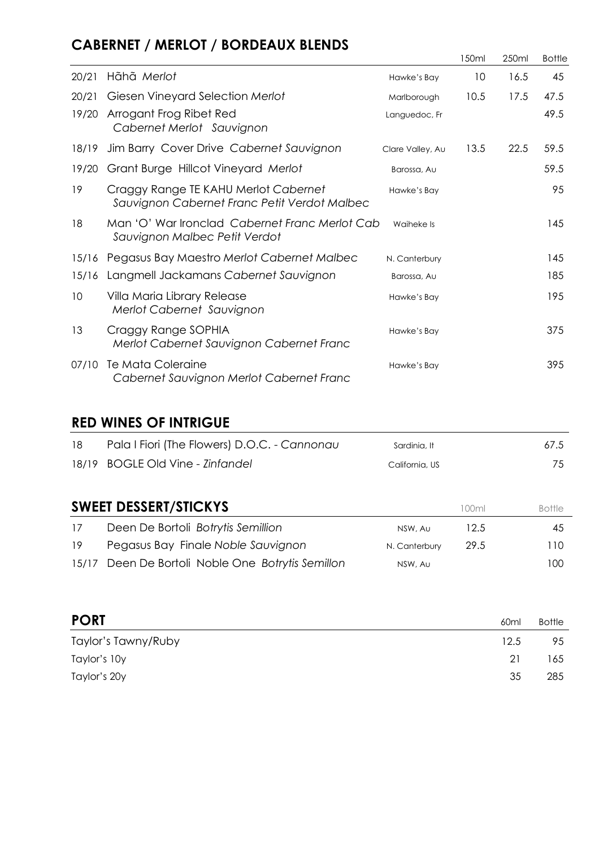# **CABERNET / MERLOT / BORDEAUX BLENDS**

|       |                                                                                      |                  | l 50ml | 250ml | <b>Bottle</b> |
|-------|--------------------------------------------------------------------------------------|------------------|--------|-------|---------------|
| 20/21 | Hãhã Merlot                                                                          | Hawke's Bay      | 10     | 16.5  | 45            |
| 20/21 | Giesen Vineyard Selection Merlot                                                     | Marlborough      | 10.5   | 17.5  | 47.5          |
| 19/20 | Arrogant Frog Ribet Red<br>Cabernet Merlot Sauvignon                                 | Languedoc, Fr    |        |       | 49.5          |
| 18/19 | Jim Barry Cover Drive Cabernet Sauvignon                                             | Clare Valley, Au | 13.5   | 22.5  | 59.5          |
| 19/20 | Grant Burge Hillcot Vineyard Merlot                                                  | Barossa, Au      |        |       | 59.5          |
| 19    | Craggy Range TE KAHU Merlot Cabernet<br>Sauvignon Cabernet Franc Petit Verdot Malbec | Hawke's Bay      |        |       | 95            |
| 18    | Man 'O' War Ironclad Cabernet Franc Merlot Cab<br>Sauvignon Malbec Petit Verdot      | Waiheke Is       |        |       | 145           |
| 15/16 | Pegasus Bay Maestro Merlot Cabernet Malbec                                           | N. Canterbury    |        |       | 145           |
| 15/16 | Langmell Jackamans Cabernet Sauvignon                                                | Barossa, Au      |        |       | 185           |
| 10    | Villa Maria Library Release<br>Merlot Cabernet Sauvignon                             | Hawke's Bay      |        |       | 195           |
| 13    | Craggy Range SOPHIA<br>Merlot Cabernet Sauvignon Cabernet Franc                      | Hawke's Bay      |        |       | 375           |
| 07/10 | Te Mata Coleraine<br>Cabernet Sauvignon Merlot Cabernet Franc                        | Hawke's Bay      |        |       | 395           |

#### **RED WINES OF INTRIGUE**

|    | <b>SWEET DESSERT/STICKYS</b>                 | I NOml         | <b>Bottle</b> |
|----|----------------------------------------------|----------------|---------------|
|    | 18/19 BOGLE Old Vine - Zinfandel             | California, US | 75            |
| 18 | Pala I Fiori (The Flowers) D.O.C. - Cannonau | Sardinia, It   | 67.5          |

| 17 | Deen De Bortoli Botrytis Semillion                | NSW. Au       | 12.5  | 45  |
|----|---------------------------------------------------|---------------|-------|-----|
| 19 | Pegasus Bay Finale Noble Sauvignon                | N. Canterbury | -29.5 | 110 |
|    | 15/17 Deen De Bortoli Noble One Botrytis Semillon | NSW, Au       |       | 100 |

| <b>PORT</b>         | 60 <sub>ml</sub> | Bottle |
|---------------------|------------------|--------|
| Taylor's Tawny/Ruby | 12.5             | 95     |
| Taylor's 10y        | 21               | 165    |
| Taylor's 20y        | 35               | 285    |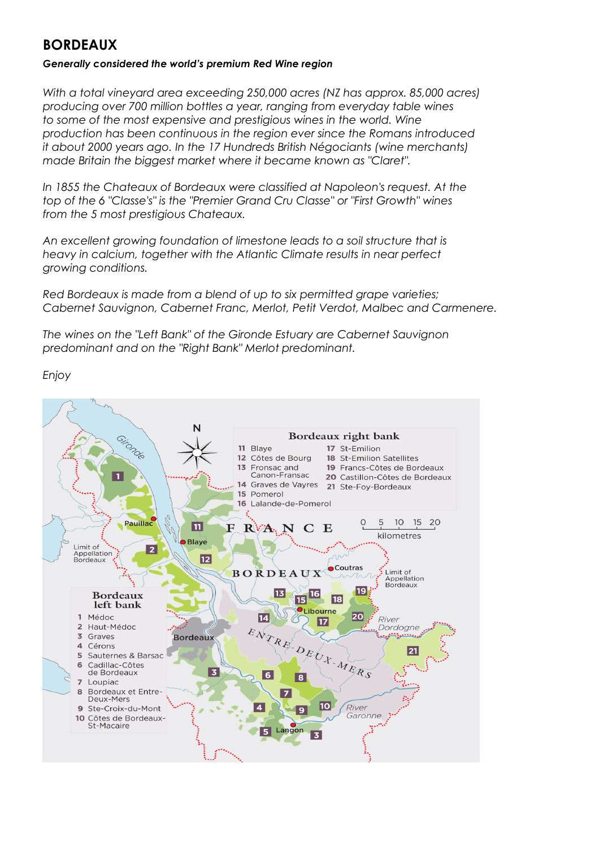#### **BORDEAUX**

#### *Generally considered the world's premium Red Wine region*

*With a total vineyard area exceeding 250,000 acres (NZ has approx. 85,000 acres) producing over 700 million bottles a year, ranging from everyday table wines to some of the most expensive and prestigious wines in the world. Wine production has been continuous in the region ever since the Romans introduced it about 2000 years ago. In the 17 Hundreds British Négociants (wine merchants) made Britain the biggest market where it became known as "Claret".*

*In 1855 the Chateaux of Bordeaux were classified at Napoleon's request. At the top of the 6 "Classe's" is the "Premier Grand Cru Classe" or "First Growth" wines from the 5 most prestigious Chateaux.*

*An excellent growing foundation of limestone leads to a soil structure that is heavy in calcium, together with the Atlantic Climate results in near perfect growing conditions.*

*Red Bordeaux is made from a blend of up to six permitted grape varieties; Cabernet Sauvignon, Cabernet Franc, Merlot, Petit Verdot, Malbec and Carmenere.*

*The wines on the "Left Bank" of the Gironde Estuary are Cabernet Sauvignon predominant and on the "Right Bank" Merlot predominant.*

*Enjoy* 

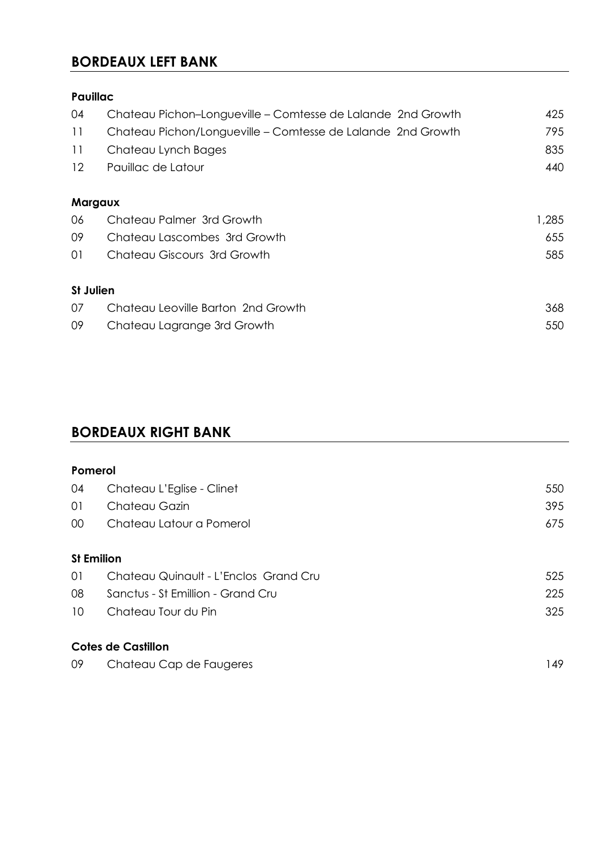#### **BORDEAUX LEFT BANK**

#### **Pauillac**

| 04               | Chateau Pichon-Longueville – Comtesse de Lalande 2nd Growth | 425   |
|------------------|-------------------------------------------------------------|-------|
| 11               | Chateau Pichon/Longueville – Comtesse de Lalande 2nd Growth | 795   |
| 11               | Chateau Lynch Bages                                         | 835   |
| 12               | Pauillac de Latour                                          | 440   |
| Margaux          |                                                             |       |
| 06               | Chateau Palmer 3rd Growth                                   | 1,285 |
| 09               | Chateau Lascombes 3rd Growth                                | 655   |
| 01               | Chateau Giscours 3rd Growth                                 | 585   |
| <b>St Julien</b> |                                                             |       |
| 07               | Chateau Leoville Barton 2nd Growth                          | 368   |
| 09               | Chateau Lagrange 3rd Growth                                 | 550   |

## **BORDEAUX RIGHT BANK**

| Pomerol |                                       |     |
|---------|---------------------------------------|-----|
| 04      | Chateau L'Eglise - Clinet             | 550 |
| 01      | Chateau Gazin                         | 395 |
| $00\,$  | Chateau Latour a Pomerol              | 675 |
|         |                                       |     |
|         | <b>St Emilion</b>                     |     |
| 01      | Chateau Quinault - L'Enclos Grand Cru | 525 |
| 08      | Sanctus - St Emillion - Grand Cru     | 225 |
| 10      | Chateau Tour du Pin                   | 325 |
|         |                                       |     |
|         | <b>Cotes de Castillon</b>             |     |
| 09      | Chateau Cap de Faugeres               | 149 |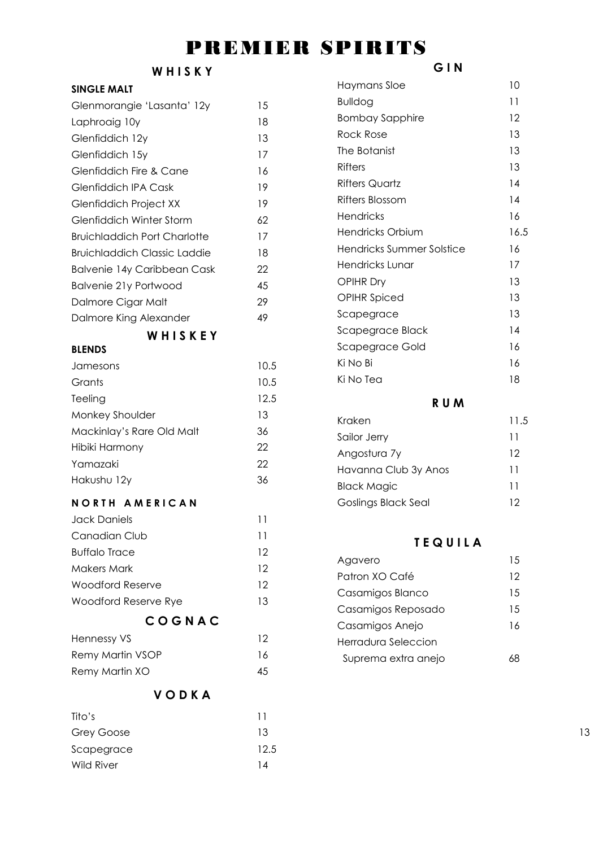# PREMIER SPIRITS

#### **W H I S K Y**

#### **SINGLE MALT**

| Glenmorangie 'Lasanta' 12y          | 15 |
|-------------------------------------|----|
| Laphroaig 10y                       | 18 |
| Glenfiddich 12y                     | 13 |
| Glenfiddich 15y                     | 17 |
| Glenfiddich Fire & Cane             | 16 |
| Glenfiddich IPA Cask                | 19 |
| <b>Glenfiddich Project XX</b>       | 19 |
| Glenfiddich Winter Storm            | 62 |
| <b>Bruichladdich Port Charlotte</b> | 17 |
| Bruichladdich Classic Laddie        | 18 |
| <b>Balvenie 14y Caribbean Cask</b>  | 22 |
| Balvenie 21y Portwood               | 45 |
| Dalmore Cigar Malt                  | 29 |
| Dalmore King Alexander              | 49 |
|                                     |    |

#### **W H I S K E Y**

#### **BLENDS**

| Jamesons                  | 10.5 |
|---------------------------|------|
| Grants                    | 10.5 |
| Teeling                   | 12.5 |
| Monkey Shoulder           | 13   |
| Mackinlay's Rare Old Malt | 36   |
| Hibiki Harmony            | 22   |
| Yamazaki                  | 22   |
| Hakushu 12y               | 36   |

#### **N O R T H A M E R I C A N**

| Jack Daniels         | 11 |
|----------------------|----|
| Canadian Club        | 11 |
| <b>Buffalo Trace</b> | 12 |
| <b>Makers Mark</b>   | 12 |
| Woodford Reserve     | 12 |
| Woodford Reserve Rye | 13 |
|                      |    |

#### **C O G N A C**

| Hennessy VS      | 12 |
|------------------|----|
| Remy Martin VSOP | 16 |
| Remy Martin XO   | 45 |

#### **V O D K A**

| Tito's            |                |    |
|-------------------|----------------|----|
| Grey Goose        | 13             | 13 |
| Scapegrace        | 12.5           |    |
| <b>Wild River</b> | $\overline{4}$ |    |

#### **G I N**

| Haymans Sloe              | 10   |
|---------------------------|------|
| <b>Bulldog</b>            | 11   |
| <b>Bombay Sapphire</b>    | 12   |
| Rock Rose                 | 13   |
| The Botanist              | 13   |
| Rifters                   | 13   |
| <b>Rifters Quartz</b>     | 14   |
| Rifters Blossom           | 14   |
| <b>Hendricks</b>          | 16   |
| Hendricks Orbium          | 16.5 |
| Hendricks Summer Solstice | 16   |
| Hendricks Lunar           | 17   |
| <b>OPIHR Dry</b>          | 13   |
| <b>OPIHR Spiced</b>       | 13   |
| Scapegrace                | 13   |
| Scapegrace Black          | 14   |
| Scapegrace Gold           | 16   |
| Ki No Bi                  | 16   |
| Ki No Tea                 | 18   |
|                           |      |

#### **R U M**

| Kraken                     | 11.5 |
|----------------------------|------|
| Sailor Jerry               | 11   |
| Angostura 7y               | 12   |
| Havanna Club 3y Anos       | 11   |
| <b>Black Magic</b>         | 11   |
| <b>Goslings Black Seal</b> | 12   |

#### **T E Q U I L A**

| Agavero             | 1.5 |
|---------------------|-----|
| Patron XO Café      | 12  |
| Casamigos Blanco    | 15  |
| Casamigos Reposado  | 15  |
| Casamigos Anejo     | 16  |
| Herradura Seleccion |     |
| Suprema extra anejo |     |
|                     |     |